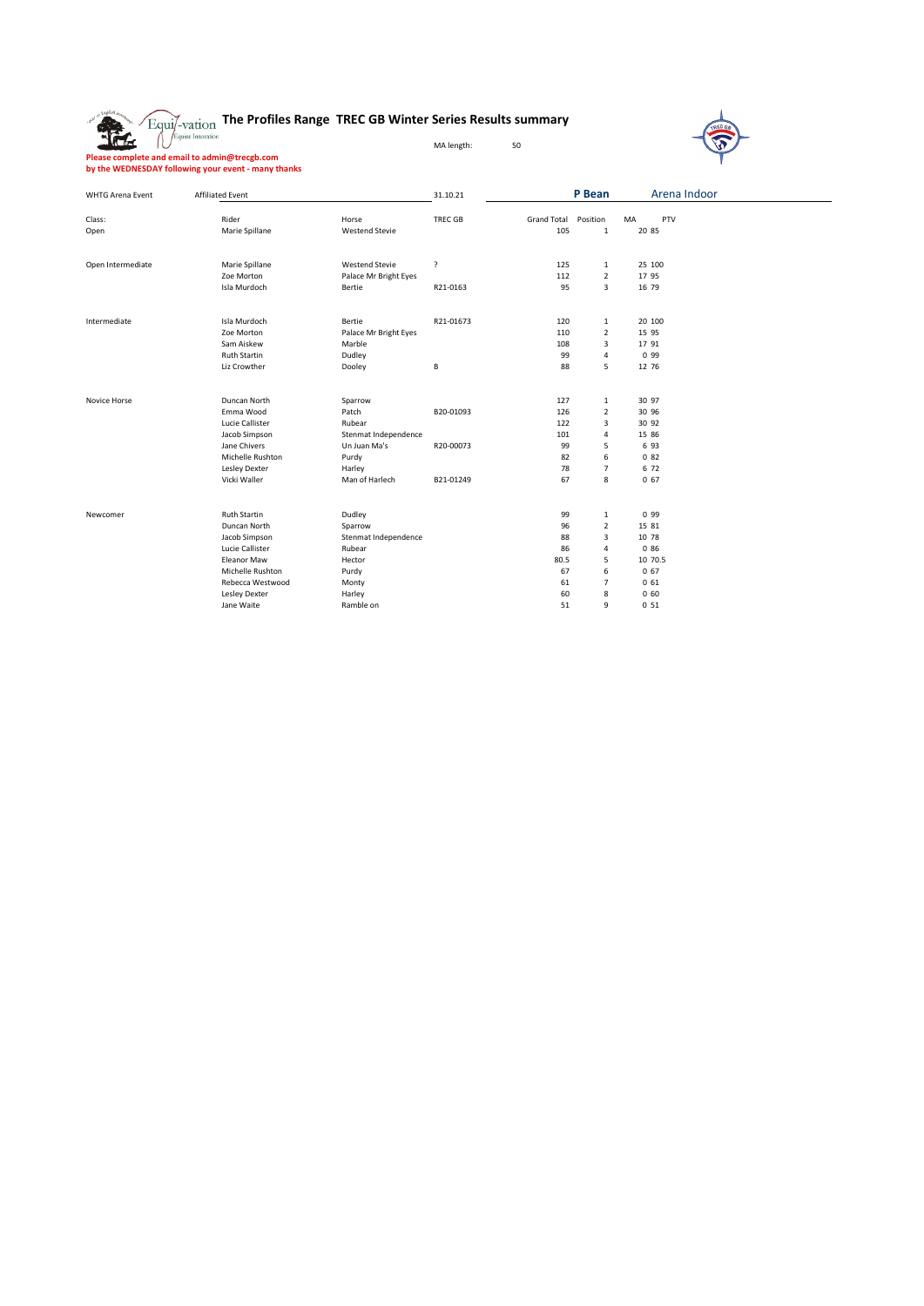## **The Profiles Range TREC GB Winter Series Results summary**



**Please complete and email to admin@trecgb.com by the WEDNESDAY following your event - many thanks**

症

| <b>WHTG Arena Event</b> | <b>Affiliated Event</b> |                       | 31.10.21       |                    | P Bean         | Arena Indoor    |  |
|-------------------------|-------------------------|-----------------------|----------------|--------------------|----------------|-----------------|--|
| Class:                  | Rider                   | Horse                 | <b>TREC GB</b> | <b>Grand Total</b> | Position       | PTV<br>MA       |  |
| Open                    | Marie Spillane          | <b>Westend Stevie</b> |                | 105                | $\mathbf{1}$   | 20 85           |  |
|                         |                         |                       |                |                    |                |                 |  |
| Open Intermediate       | Marie Spillane          | <b>Westend Stevie</b> | <sup>2</sup>   | 125                | $\mathbf{1}$   | 25 100          |  |
|                         | Zoe Morton              | Palace Mr Bright Eyes |                | 112                | $\overline{2}$ | 17 95           |  |
|                         | Isla Murdoch            | Bertie                | R21-0163       | 95                 | 3              | 16 79           |  |
| Intermediate            | Isla Murdoch            | Bertie                | R21-01673      | 120                | 1              | 20 100          |  |
|                         | Zoe Morton              | Palace Mr Bright Eyes |                | 110                | $\overline{2}$ | 15 95           |  |
|                         | Sam Aiskew              | Marble                |                | 108                | 3              | 17 91           |  |
|                         | <b>Ruth Startin</b>     | Dudley                |                | 99                 | 4              | 0 9 9           |  |
|                         | Liz Crowther            | Dooley                | В              | 88                 | 5              | 12 76           |  |
| Novice Horse            | Duncan North            | Sparrow               |                | 127                | $\mathbf{1}$   | 30 97           |  |
|                         | Emma Wood               | Patch                 | B20-01093      | 126                | $\mathbf 2$    | 30 96           |  |
|                         | Lucie Callister         | Rubear                |                | 122                | 3              | 30 92           |  |
|                         | Jacob Simpson           | Stenmat Independence  |                | 101                | 4              | 15 86           |  |
|                         | Jane Chivers            | Un Juan Ma's          | R20-00073      | 99                 | 5              | 6 93            |  |
|                         | Michelle Rushton        | Purdy                 |                | 82                 | 6              | 082             |  |
|                         | Lesley Dexter           | Harley                |                | 78                 | 7              | 6 72            |  |
|                         | Vicki Waller            | Man of Harlech        | B21-01249      | 67                 | 8              | 067             |  |
| Newcomer                | <b>Ruth Startin</b>     | Dudley                |                | 99                 | 1              | 0 9 9           |  |
|                         | Duncan North            | Sparrow               |                | 96                 | $\mathbf 2$    | 15 81           |  |
|                         | Jacob Simpson           | Stenmat Independence  |                | 88                 | 3              | 10 78           |  |
|                         | Lucie Callister         | Rubear                |                | 86                 | 4              | 0 86            |  |
|                         | <b>Eleanor Maw</b>      | Hector                |                | 80.5               | 5              | 10 70.5         |  |
|                         | Michelle Rushton        | Purdy                 |                | 67                 | 6              | 067             |  |
|                         | Rebecca Westwood        | Monty                 |                | 61                 | $\overline{7}$ | 061             |  |
|                         | Lesley Dexter           | Harley                |                | 60                 | 8              | 060             |  |
|                         | Jane Waite              | Ramble on             |                | 51                 | 9              | 0 <sub>51</sub> |  |
|                         |                         |                       |                |                    |                |                 |  |

MA length: 50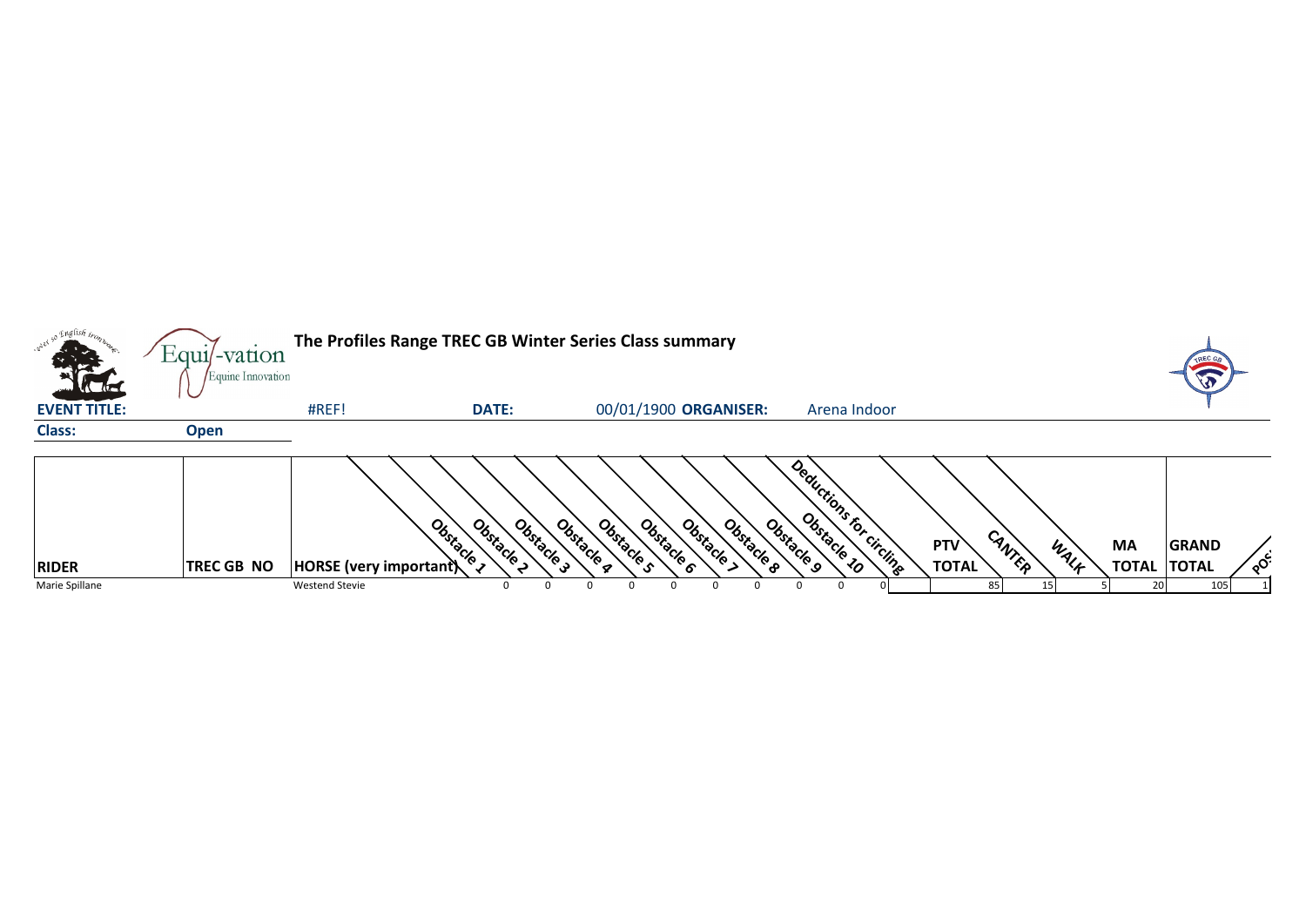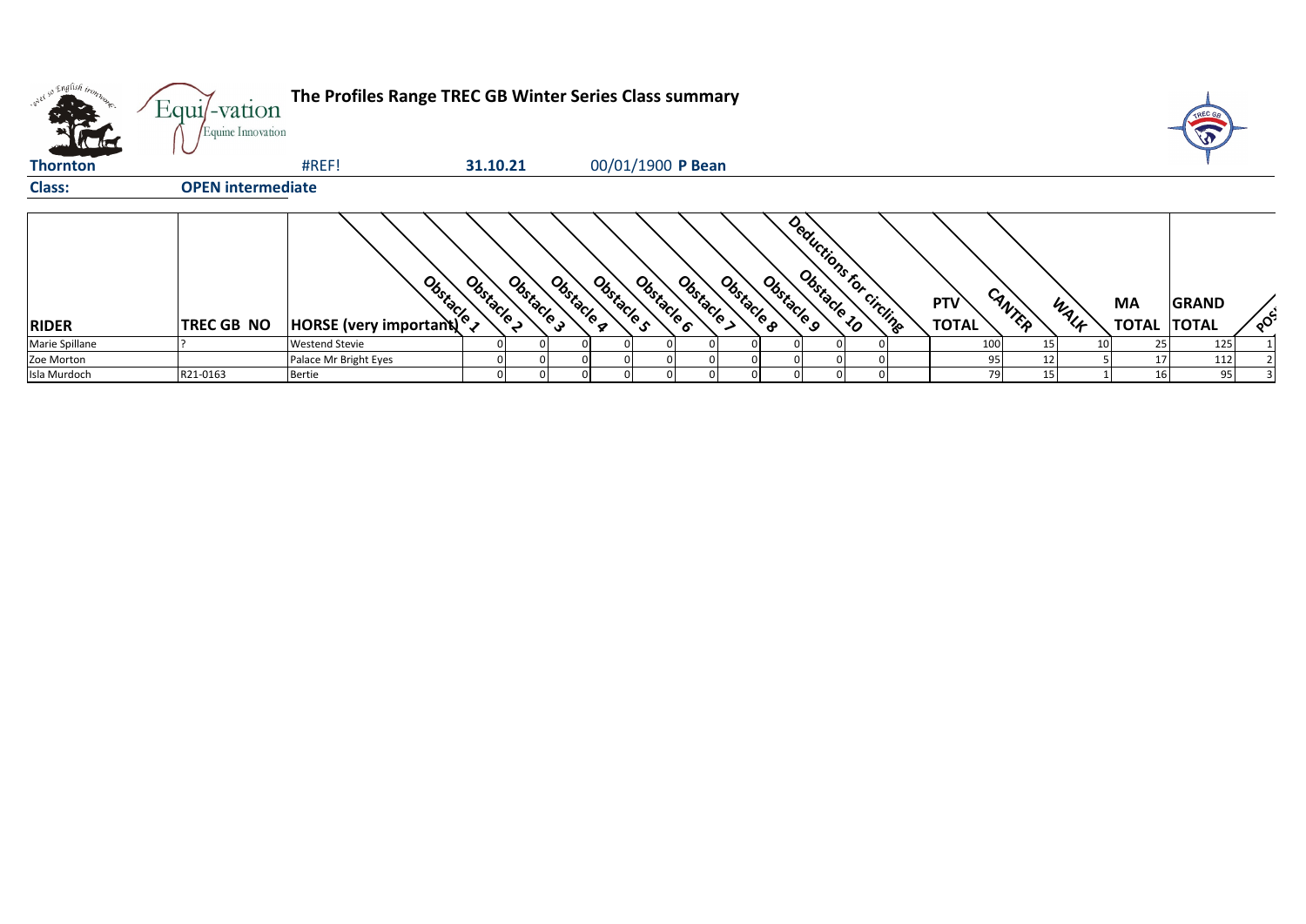|                 | Equi/-vation<br>Equine Innovation | The Profiles Range TREC GB Winter Series Class summary |                          |                          |                          |            |                       |                         |                            |                |                    | TREC GE                      |              |
|-----------------|-----------------------------------|--------------------------------------------------------|--------------------------|--------------------------|--------------------------|------------|-----------------------|-------------------------|----------------------------|----------------|--------------------|------------------------------|--------------|
| <b>Thornton</b> |                                   | #REF!                                                  | 31.10.21                 |                          | 00/01/1900 P Bean        |            |                       |                         |                            |                |                    |                              |              |
| <b>Class:</b>   | <b>OPEN intermediate</b>          |                                                        |                          |                          |                          |            |                       |                         |                            |                |                    |                              |              |
| <b>RIDER</b>    | <b>TREC GB NO</b>                 | <b>Bridge</b><br>HORSE (very important)                | Obstacle 2<br>Obstacle 3 | Obstacle q<br>Obstacle s | Obstacle 6<br>Obstacle > | Obstacle B | Obstacle <sub>9</sub> | Deductions for Circline | <b>PTV</b><br><b>TOTAL</b> | CANTER<br>WALK | MA<br><b>TOTAL</b> | <b>GRAND</b><br><b>TOTAL</b> | $\delta^{c}$ |
| Marie Spillane  |                                   | <b>Westend Stevie</b>                                  |                          |                          |                          |            |                       |                         | 100                        | 15             | 25                 | 125                          |              |
| Zoe Morton      |                                   | Palace Mr Bright Eyes                                  |                          |                          |                          |            |                       |                         | 95                         |                |                    | 112                          |              |
| Isla Murdoch    | R21-0163                          | <b>Bertie</b>                                          |                          |                          |                          |            |                       |                         | 79                         | 15             | <b>16</b>          | 95                           |              |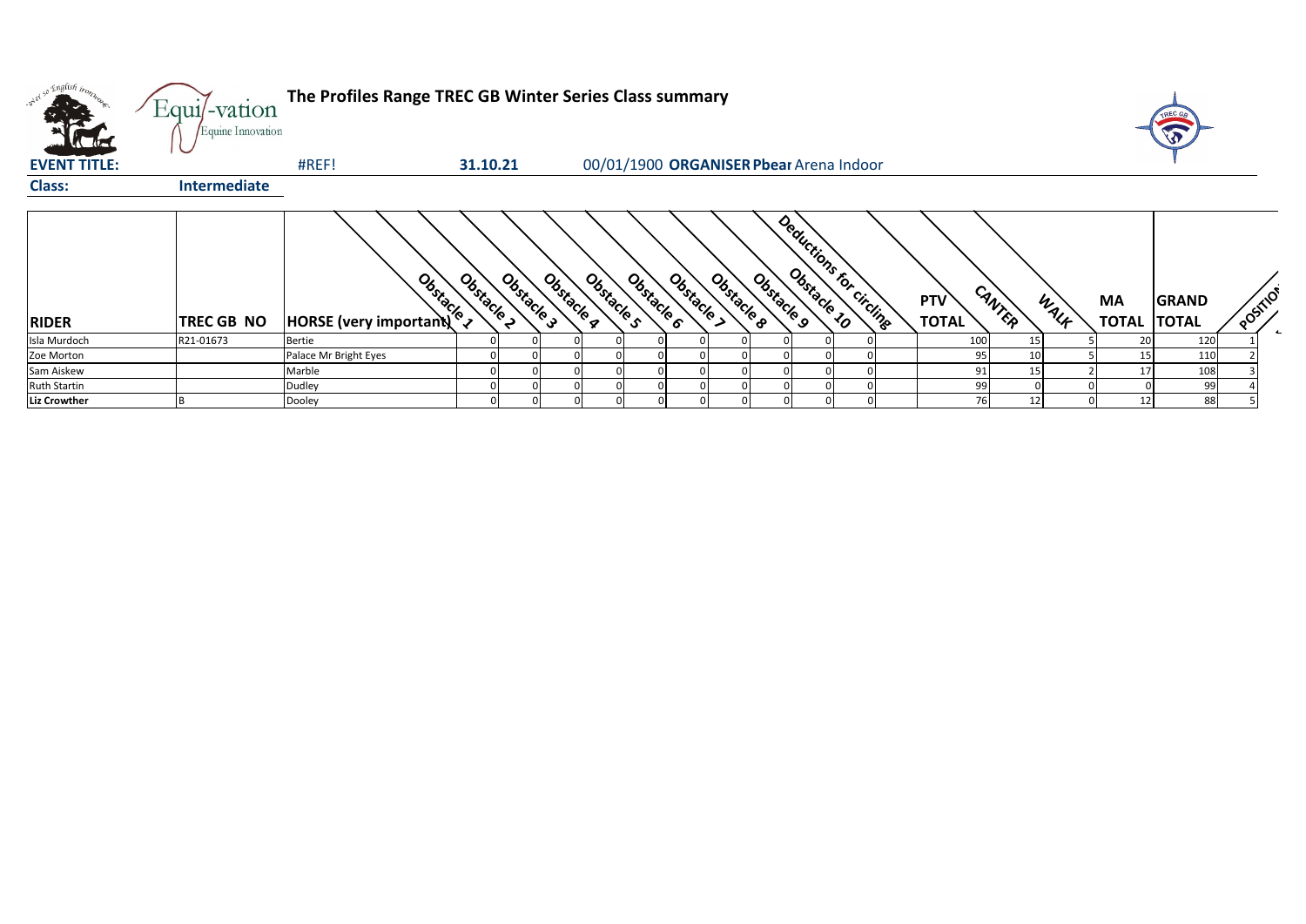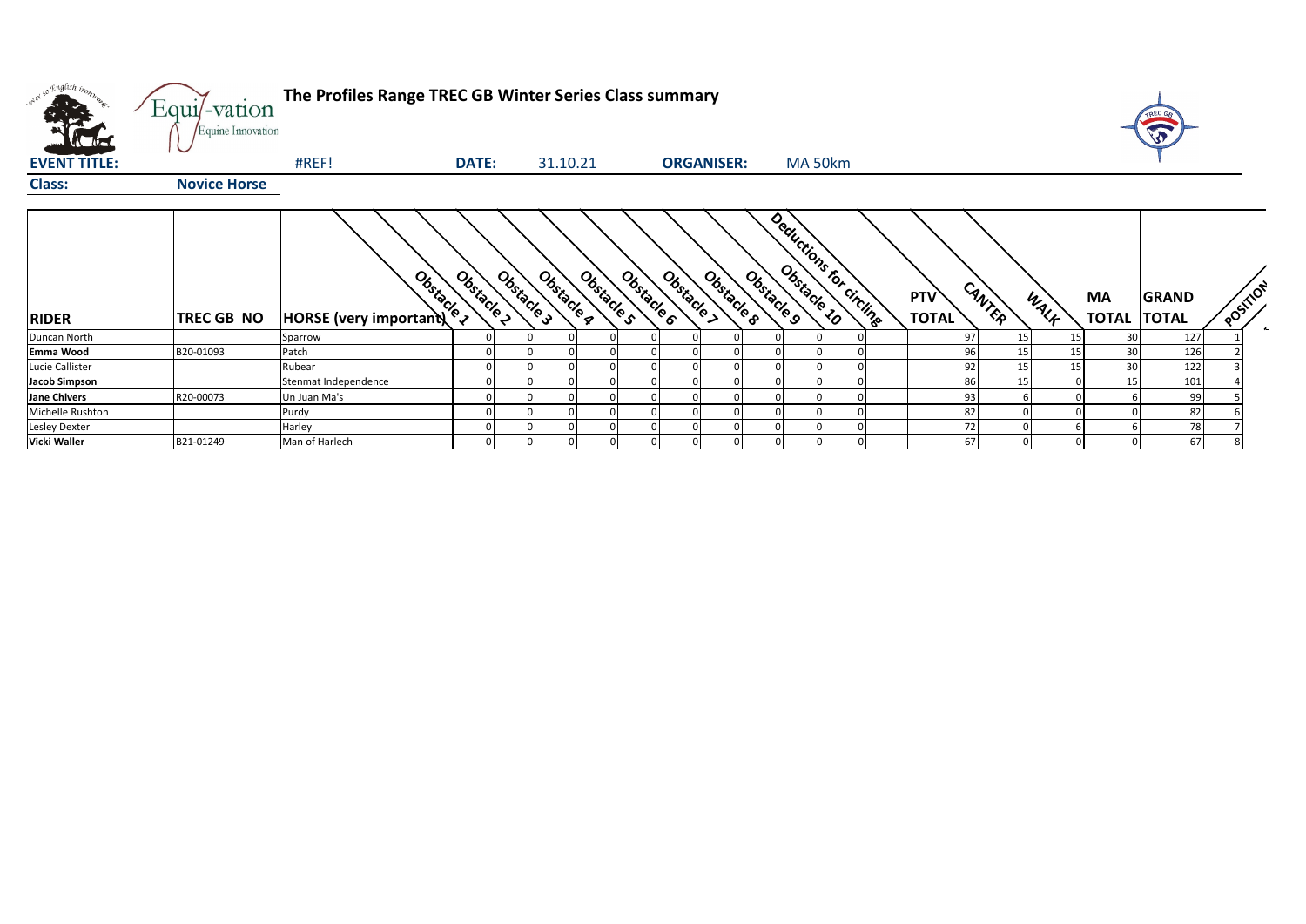| over so English tron, | Equi/-vation<br>Equine Innovation | The Profiles Range TREC GB Winter Series Class summary |              |                          |            |                          |            |                                                  |  |                     |        |                 |                          | TREC GE<br>$\sqrt{3}$ |                       |
|-----------------------|-----------------------------------|--------------------------------------------------------|--------------|--------------------------|------------|--------------------------|------------|--------------------------------------------------|--|---------------------|--------|-----------------|--------------------------|-----------------------|-----------------------|
| <b>EVENT TITLE:</b>   |                                   | #REF!                                                  | <b>DATE:</b> | 31.10.21                 |            | <b>ORGANISER:</b>        |            | MA 50km                                          |  |                     |        |                 |                          |                       |                       |
| <b>Class:</b>         | <b>Novice Horse</b>               |                                                        |              |                          |            |                          |            |                                                  |  |                     |        |                 |                          |                       |                       |
| <b>RIDER</b>          | <b>TREC GB NO</b>                 | Obstacle 1<br><b>HORSE</b> (very important)            | Obstacle 2   | Obstacle 3<br>Obstacle g | Obstacle s | Obstacle 6<br>Obstacle > | Obstacle 8 | Deductions for circuits<br>Obstacle <sub>9</sub> |  | PTV<br><b>TOTAL</b> | CANTER | WALF            | MA<br><b>TOTAL TOTAL</b> | <b>GRAND</b>          | POSITION<br>$\bullet$ |
| Duncan North          |                                   | Sparrow                                                |              |                          |            |                          |            |                                                  |  | 97                  | 15     | 15              | 30                       | 127                   |                       |
| Emma Wood             | B20-01093                         | Patch                                                  |              |                          |            |                          |            |                                                  |  | 96                  | 15     | 15 <sub>1</sub> | 30                       | 126                   |                       |
| Lucie Callister       |                                   | Rubear                                                 |              |                          |            |                          |            |                                                  |  | 92                  | 15     | 15              | 30                       | 122                   |                       |
| <b>Jacob Simpson</b>  |                                   | Stenmat Independence                                   |              |                          |            |                          |            |                                                  |  | 86                  | 15     |                 | 15                       | 101                   |                       |
| <b>Jane Chivers</b>   | R20-00073                         | Un Juan Ma's                                           |              |                          |            |                          |            |                                                  |  | 93                  |        |                 |                          | 99                    |                       |
| Michelle Rushton      |                                   | Purdy                                                  |              |                          |            |                          |            |                                                  |  | 82                  |        |                 |                          | 82                    |                       |
| <b>Lesley Dexter</b>  |                                   | Harley                                                 |              |                          |            |                          |            |                                                  |  | 72                  |        |                 |                          | 78                    |                       |
| Vicki Waller          | B21-01249                         | Man of Harlech                                         |              | 01                       |            |                          |            |                                                  |  | 67                  |        |                 |                          | 67                    |                       |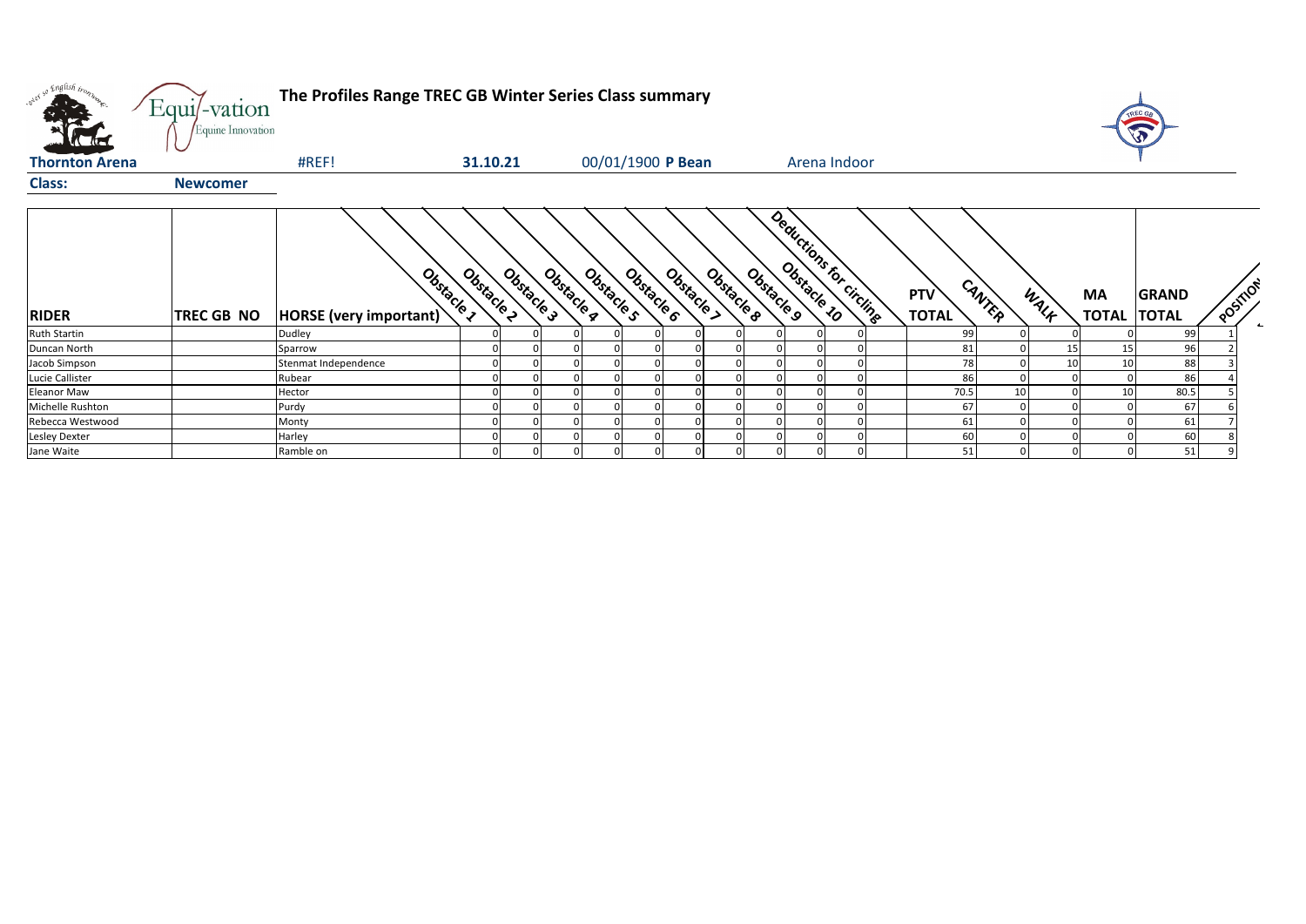| oner so English bo.   | The Profiles Range TREC GB Winter Series Class summary<br>Equi/-vation<br>Equine Innovation |                                             |            |            |            |            |  |                          |            |              |                          |              |  |                            |        |      |                           |                              |  |                                      |  |
|-----------------------|---------------------------------------------------------------------------------------------|---------------------------------------------|------------|------------|------------|------------|--|--------------------------|------------|--------------|--------------------------|--------------|--|----------------------------|--------|------|---------------------------|------------------------------|--|--------------------------------------|--|
| <b>Thornton Arena</b> |                                                                                             | #REF!                                       | 31.10.21   |            |            |            |  | 00/01/1900 P Bean        |            |              |                          | Arena Indoor |  |                            |        |      |                           |                              |  |                                      |  |
| <b>Class:</b>         | <b>Newcomer</b>                                                                             |                                             |            |            |            |            |  |                          |            |              |                          |              |  |                            |        |      |                           |                              |  |                                      |  |
| <b>RIDER</b>          | <b>TREC GB NO</b>                                                                           | Obstacle 1<br><b>HORSE</b> (very important) | Obstacle 2 | Obstacle 3 | Obstacle g | Obstacle s |  | Obstacke c<br>Obstacle > | Obstacle 8 | Obstacle 9   | Deductions for circlinge |              |  | <b>PTV</b><br><b>TOTAL</b> | CANTER | WALK | <b>MA</b><br><b>TOTAL</b> | <b>GRAND</b><br><b>TOTAL</b> |  | POSTILON<br>$\overline{\phantom{a}}$ |  |
| <b>Ruth Startin</b>   |                                                                                             | Dudley                                      |            |            |            |            |  |                          |            |              |                          |              |  | 99                         |        |      |                           | 99                           |  |                                      |  |
| Duncan North          |                                                                                             | Sparrow                                     |            |            |            |            |  |                          |            |              |                          |              |  | 81                         |        |      | 15                        | 96                           |  |                                      |  |
| Jacob Simpson         |                                                                                             | Stenmat Independence                        |            |            |            |            |  |                          |            |              |                          |              |  | 78                         |        |      | 10                        | 88                           |  |                                      |  |
| Lucie Callister       |                                                                                             | Rubear                                      |            |            |            |            |  |                          |            |              |                          |              |  | 86                         |        |      |                           | 86                           |  |                                      |  |
| <b>Eleanor Maw</b>    |                                                                                             | Hector                                      |            |            |            |            |  |                          |            |              |                          |              |  | 70.5                       | 10     |      | 10                        | 80.5                         |  |                                      |  |
| Michelle Rushton      |                                                                                             | Purdy                                       |            |            |            |            |  |                          |            | $\Omega$     |                          |              |  | 67                         |        |      |                           | 67                           |  |                                      |  |
| Rebecca Westwood      |                                                                                             | Monty                                       |            |            |            |            |  |                          |            |              |                          |              |  | 61                         |        |      |                           | 61                           |  |                                      |  |
| Lesley Dexter         |                                                                                             | Harley                                      |            |            |            |            |  |                          |            |              |                          |              |  | 60                         |        |      |                           | 60                           |  |                                      |  |
| Jane Waite            |                                                                                             | Ramble on                                   |            |            |            |            |  |                          |            | $\mathbf{0}$ |                          |              |  | 51                         |        |      |                           | 51                           |  |                                      |  |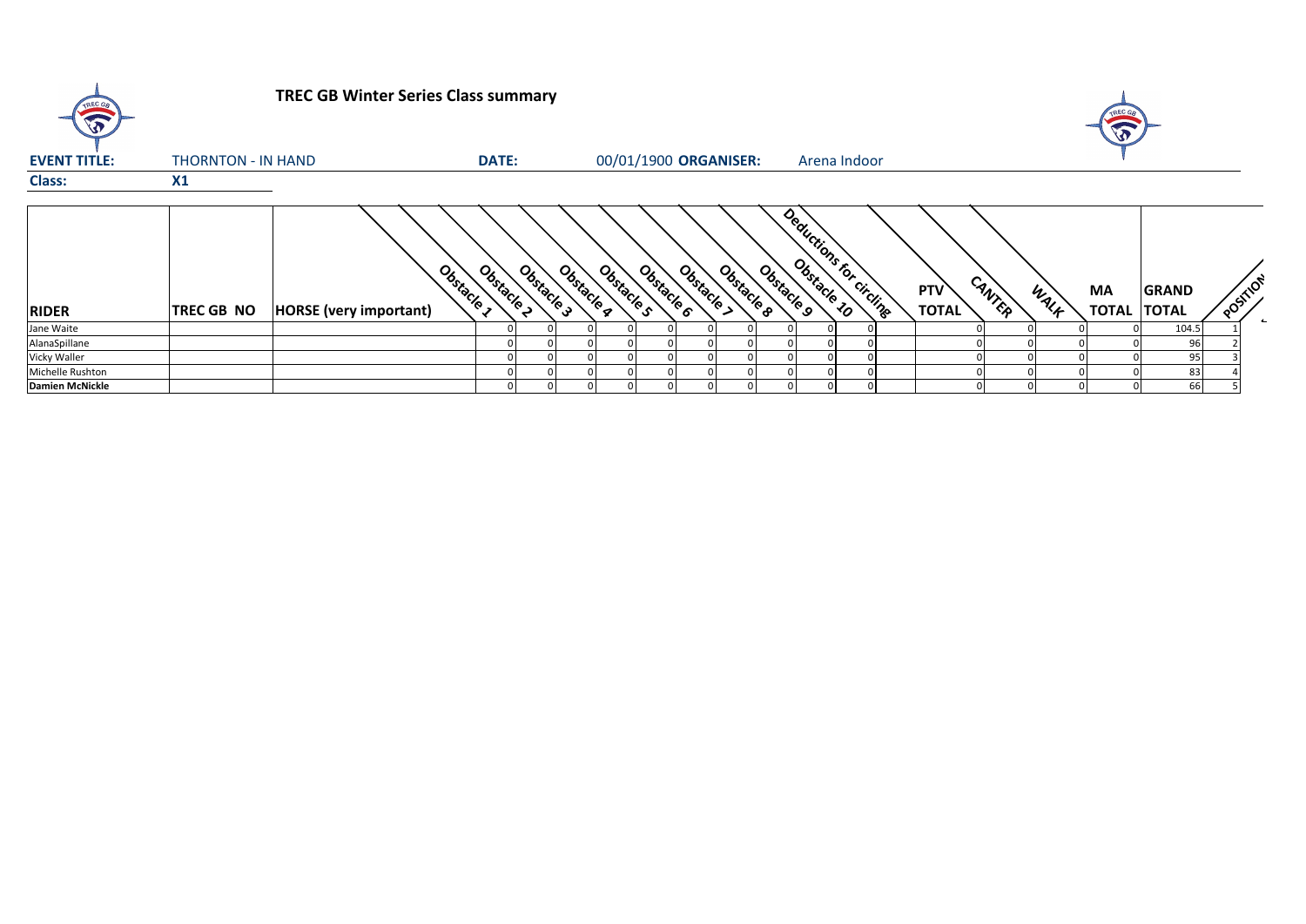| TREC GR                | <b>TREC GB Winter Series Class summary</b> |                                             |                        |            |                       |                          |            |            |                         |  |  |                            |        |      | TREC GA<br>E             |              |          |  |
|------------------------|--------------------------------------------|---------------------------------------------|------------------------|------------|-----------------------|--------------------------|------------|------------|-------------------------|--|--|----------------------------|--------|------|--------------------------|--------------|----------|--|
| <b>EVENT TITLE:</b>    | THORNTON - IN HAND                         |                                             | <b>DATE:</b>           |            | 00/01/1900 ORGANISER: |                          |            |            | Arena Indoor            |  |  |                            |        |      |                          |              |          |  |
| <b>Class:</b>          | X1                                         |                                             |                        |            |                       |                          |            |            |                         |  |  |                            |        |      |                          |              |          |  |
| <b>RIDER</b>           | <b>TREC GB NO</b>                          | Obstacle 1<br><b>HORSE</b> (very important) | Obstacle<br>Obstacle 3 | Obstacle g | Obstacle <sub>S</sub> | Obstacle 6<br>Obstacle > | Obstacle & | Obstacle 9 | Deductions for circling |  |  | <b>PTV</b><br><b>TOTAL</b> | CANTER | WALK | MA<br><b>TOTAL TOTAL</b> | <b>GRAND</b> | POSTILOT |  |
| Jane Waite             |                                            |                                             |                        |            |                       |                          |            |            |                         |  |  |                            |        |      |                          | 104.5        |          |  |
| AlanaSpillane          |                                            |                                             |                        |            |                       |                          |            |            |                         |  |  |                            |        |      |                          | 96           |          |  |
| Vicky Waller           |                                            |                                             |                        |            |                       |                          |            |            |                         |  |  |                            |        |      |                          | 95           |          |  |
| Michelle Rushton       |                                            |                                             |                        |            |                       |                          |            |            |                         |  |  |                            |        |      |                          | 83           |          |  |
| <b>Damien McNickle</b> |                                            |                                             |                        |            |                       |                          |            |            |                         |  |  |                            |        |      |                          | 66           |          |  |